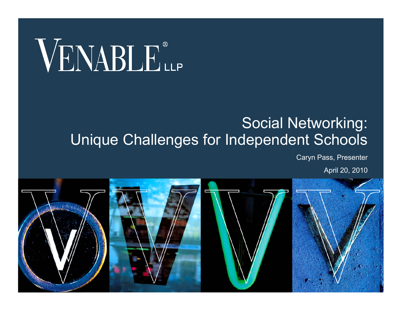# VENABLE®

#### Social Networking: Unique Challenges for Independent Schools

Caryn Pass, Presenter

April 20, 2010

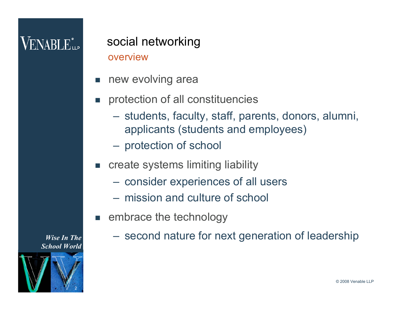### $\mathsf{VENABI}\,\mathbf{E}^*$

#### overview social networking

- new evolving area
- protection of all constituencies
	- students, faculty, staff, parents, donors, alumni, applicants (students and employees)
	- protection of school
- create systems limiting liability
	- consider experiences of all users
	- mission and culture of school
- **Example 20 Fembrace the technology** 
	- second nature for next generation of leadership

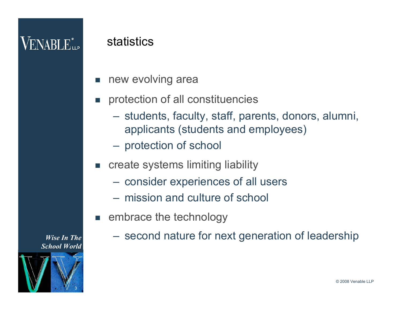### $\mathsf{VENABI}\,\mathbf{E}^*$

#### statistics

- new evolving area
- protection of all constituencies
	- students, faculty, staff, parents, donors, alumni, applicants (students and employees)
	- protection of school
- create systems limiting liability
	- consider experiences of all users
	- mission and culture of school
- **Example 20 Fembrace the technology** 
	- second nature for next generation of leadership

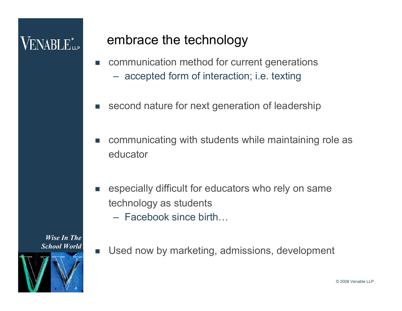### $\mathsf{VENABI}\, \mathbf{E}_{\mathsf{LP}}^*$

#### embrace the technology

- **EXECOMMUNICATEDY COMMUNICATEDY** method for current generations
	- accepted form of interaction; i.e. texting
- second nature for next generation of leadership
- communicating with students while maintaining role as educator
- **EX EXEDERI** especially difficult for educators who rely on same technology as students
	- Facebook since birth…

- 4
- **Used now by marketing, admissions, development**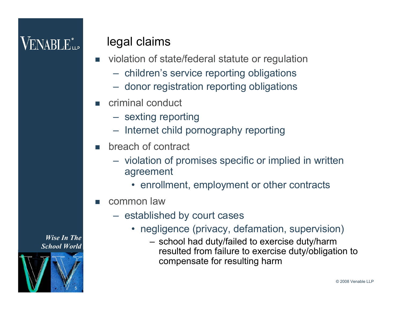### $\mathsf{VENABI}\,\mathbf{E}^*$

#### legal claims

- violation of state/federal statute or regulation
	- children's service reporting obligations
	- donor registration reporting obligations
- criminal conduct
	- sexting reporting
	- Internet child pornography reporting
- breach of contract
	- violation of promises specific or implied in written agreement
		- enrollment, employment or other contracts
- common law
	- established by court cases
		- negligence (privacy, defamation, supervision)
			- school had duty/failed to exercise duty/harm resulted from failure to exercise duty/obligation to compensate for resulting harm

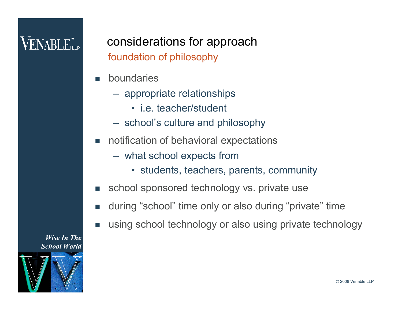#### foundation of philosophy considerations for approach

- boundaries
	- appropriate relationships
		- i.e. teacher/student
	- school's culture and philosophy
- notification of behavioral expectations
	- what school expects from
		- students, teachers, parents, community
- school sponsored technology vs. private use
- during "school" time only or also during "private" time
- using school technology or also using private technology

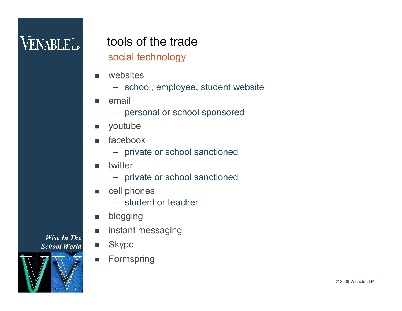### **VENABLE** LLP

### tools of the trade

social technology

- websites
	- school, employee, student website
- email
	- personal or school sponsored
- **n** youtube
- facebook
	- private or school sanctioned
- **u** twitter
	- private or school sanctioned
- cell phones
	- student or teacher
- **Dlogging**
- **n** instant messaging
- **Skype**
- **Formspring**

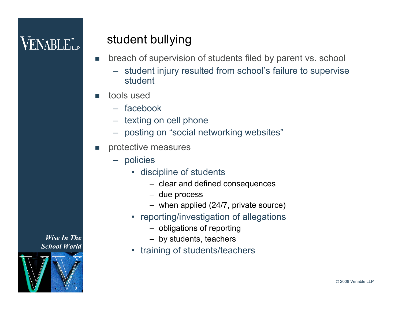### $\rm VENABI.E^{*}_{\mu\nu}$

#### student bullying

- breach of supervision of students filed by parent vs. school
	- student injury resulted from school's failure to supervise student
- tools used
	- facebook
	- texting on cell phone
	- posting on "social networking websites"
- protective measures
	- policies
		- discipline of students
			- clear and defined consequences
			- due process
			- when applied (24/7, private source)
		- reporting/investigation of allegations
			- obligations of reporting
			- by students, teachers
		- training of students/teachers

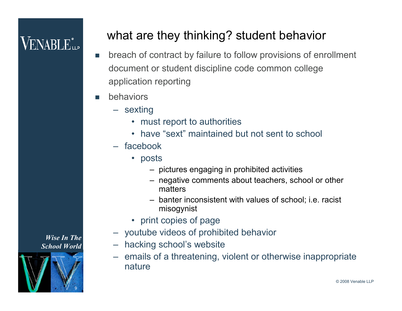#### what are they thinking? student behavior

- **nd** breach of contract by failure to follow provisions of enrollment document or student discipline code common college application reporting
- behaviors
	- sexting
		- must report to authorities
		- have "sext" maintained but not sent to school
	- facebook
		- posts
			- pictures engaging in prohibited activities
			- negative comments about teachers, school or other matters
			- banter inconsistent with values of school; i.e. racist misogynist
		- print copies of page
	- youtube videos of prohibited behavior
	- hacking school's website
	- emails of a threatening, violent or otherwise inappropriate nature

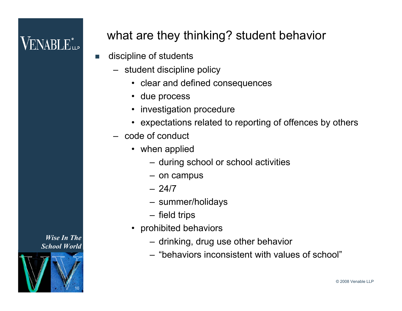# VENABLE<sup>®</sup>

#### what are they thinking? student behavior

- **discipline of students** 
	- student discipline policy
		- clear and defined consequences
		- due process
		- investigation procedure
		- expectations related to reporting of offences by others
	- code of conduct
		- when applied
			- during school or school activities
			- on campus
			- 24/7
			- summer/holidays
			- field trips
		- prohibited behaviors
			- drinking, drug use other behavior
			- "behaviors inconsistent with values of school"

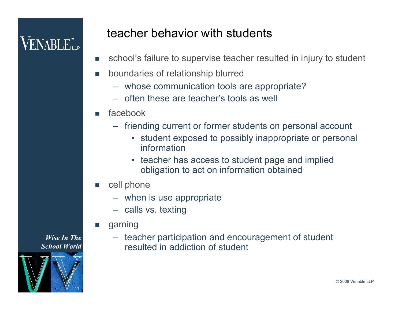#### teacher behavior with students

- school's failure to supervise teacher resulted in injury to student
- boundaries of relationship blurred
	- whose communication tools are appropriate?
	- often these are teacher's tools as well
- facebook
	- friending current or former students on personal account
		- student exposed to possibly inappropriate or personal information
		- teacher has access to student page and implied obligation to act on information obtained
- cell phone
	- when is use appropriate
	- calls vs. texting
- gaming
	- teacher participation and encouragement of student resulted in addiction of student

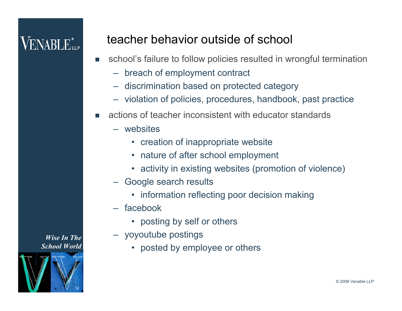#### teacher behavior outside of school

- school's failure to follow policies resulted in wrongful termination
	- breach of employment contract
	- discrimination based on protected category
	- violation of policies, procedures, handbook, past practice
- actions of teacher inconsistent with educator standards
	- websites
		- creation of inappropriate website
		- nature of after school employment
		- activity in existing websites (promotion of violence)
	- Google search results
		- information reflecting poor decision making
	- facebook
		- posting by self or others
	- yoyoutube postings
		- posted by employee or others

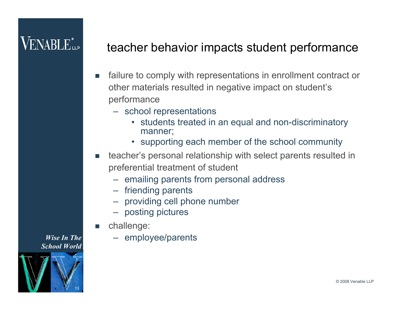#### teacher behavior impacts student performance

- failure to comply with representations in enrollment contract or other materials resulted in negative impact on student's performance
	- school representations
		- students treated in an equal and non-discriminatory manner;
		- supporting each member of the school community
- teacher's personal relationship with select parents resulted in preferential treatment of student
	- emailing parents from personal address
	- friending parents
	- providing cell phone number
	- posting pictures
- challenge:
	- employee/parents

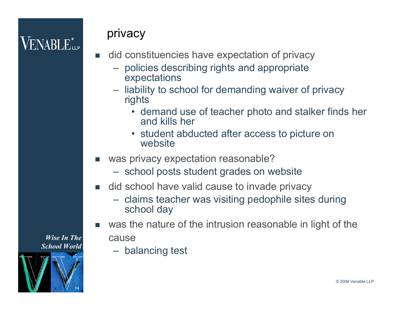#### privacy

- did constituencies have expectation of privacy
	- policies describing rights and appropriate expectations
	- liability to school for demanding waiver of privacy rights
		- demand use of teacher photo and stalker finds her and kills her
		- student abducted after access to picture on website
- was privacy expectation reasonable?
	- school posts student grades on website
- did school have valid cause to invade privacy
	- claims teacher was visiting pedophile sites during school day
- was the nature of the intrusion reasonable in light of the cause
	- balancing test

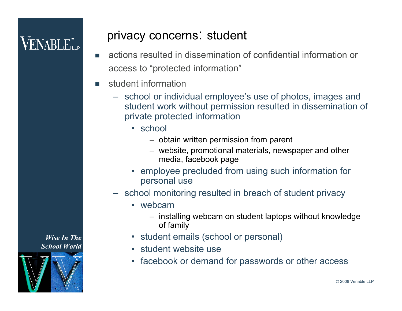# $\mathsf{VENABI}\,\mathbf{E}^*$

#### privacy concerns: student

- actions resulted in dissemination of confidential information or access to "protected information"
- student information
	- school or individual employee's use of photos, images and student work without permission resulted in dissemination of private protected information
		- school
			- obtain written permission from parent
			- website, promotional materials, newspaper and other media, facebook page
		- employee precluded from using such information for personal use
	- school monitoring resulted in breach of student privacy
		- webcam
			- installing webcam on student laptops without knowledge of family
		- student emails (school or personal)
		- student website use
		- facebook or demand for passwords or other access

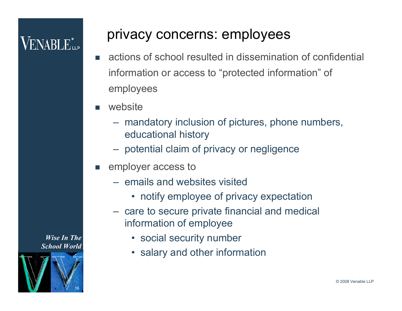#### privacy concerns: employees

- actions of school resulted in dissemination of confidential information or access to "protected information" of employees
- website
	- mandatory inclusion of pictures, phone numbers, educational history
	- potential claim of privacy or negligence
- employer access to
	- emails and websites visited
		- notify employee of privacy expectation
	- care to secure private financial and medical information of employee
		- social security number
		- salary and other information

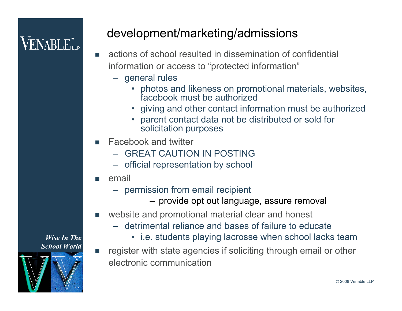#### development/marketing/admissions

- actions of school resulted in dissemination of confidential information or access to "protected information"
	- general rules
		- photos and likeness on promotional materials, websites, facebook must be authorized
		- giving and other contact information must be authorized
		- parent contact data not be distributed or sold for solicitation purposes
- Facebook and twitter
	- GREAT CAUTION IN POSTING
	- official representation by school
- email
	- permission from email recipient
		- provide opt out language, assure removal
- website and promotional material clear and honest
	- detrimental reliance and bases of failure to educate
		- i.e. students playing lacrosse when school lacks team
- register with state agencies if soliciting through email or other electronic communication

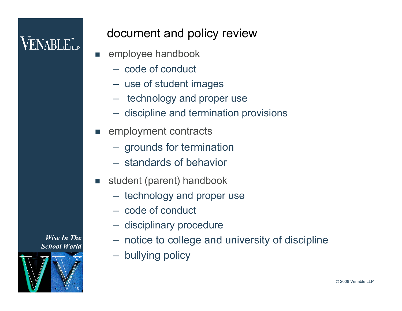# VENABLE"...

#### document and policy review

- employee handbook
	- code of conduct
	- use of student images
	- technology and proper use
	- discipline and termination provisions
- employment contracts
	- grounds for termination
	- standards of behavior
- student (parent) handbook
	- technology and proper use
	- code of conduct
	- disciplinary procedure
	- notice to college and university of discipline
	- bullying policy

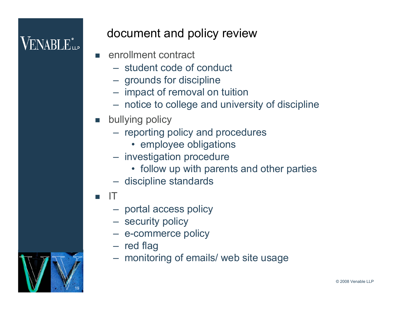# VENABLE"...

#### document and policy review

- **E** enrollment contract
	- student code of conduct
	- grounds for discipline
	- impact of removal on tuition
	- notice to college and university of discipline
- **D** bullying policy
	- reporting policy and procedures
		- employee obligations
	- investigation procedure
		- follow up with parents and other parties
	- discipline standards
- IT
	- portal access policy
	- security policy
	- e-commerce policy
	- red flag
	- monitoring of emails/ web site usage

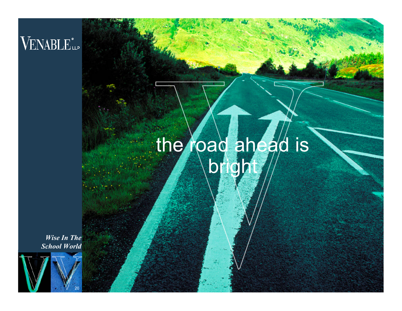# VENABLE<sup>®</sup>LLP

# the road ahead is bright

© 2008 Venable LLP

*Wise In The School World*

20